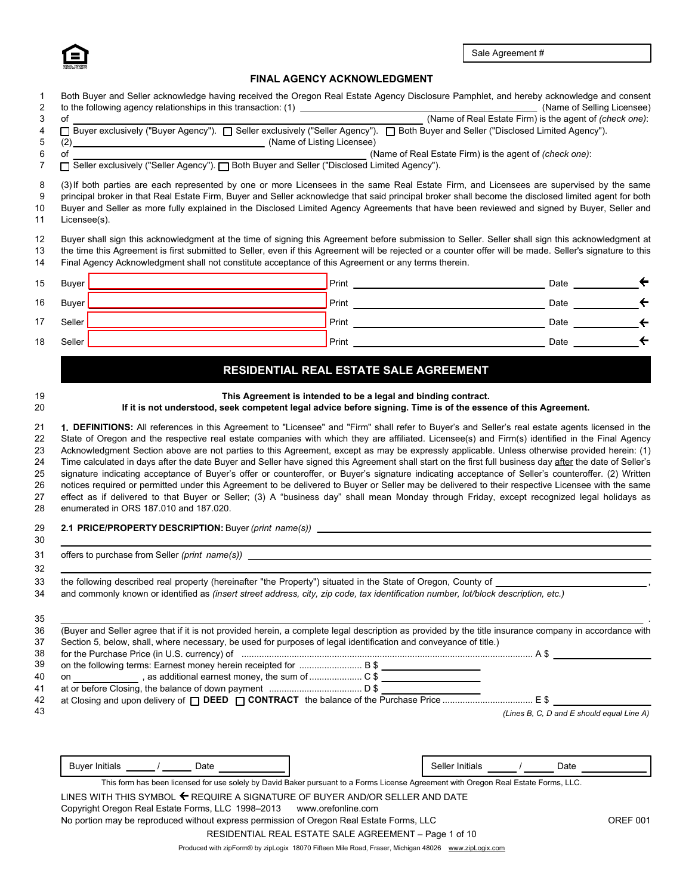

# **FINAL AGENCY ACKNOWLEDGMENT**

|                                                      | Both Buyer and Seller acknowledge having received the Oregon Real Estate Agency Disclosure Pamphlet, and hereby acknowledge and consent                                                                                                                                                                                                                                                                                                                                                                                                   |                                                                                                                                              |                                           |                 |
|------------------------------------------------------|-------------------------------------------------------------------------------------------------------------------------------------------------------------------------------------------------------------------------------------------------------------------------------------------------------------------------------------------------------------------------------------------------------------------------------------------------------------------------------------------------------------------------------------------|----------------------------------------------------------------------------------------------------------------------------------------------|-------------------------------------------|-----------------|
|                                                      |                                                                                                                                                                                                                                                                                                                                                                                                                                                                                                                                           |                                                                                                                                              |                                           |                 |
|                                                      | to the following agency relationships in this transaction: (1)<br>of <u>Check one</u> (Name of Real Estate Firm) is the agent of <i>(check one)</i> :<br>D Buyer exclusively ("Buyer Agency"). ■ Seller exclusively ("Seller Agency"). ■ Bot<br>(2) (2) (Name of Listing Licensee)                                                                                                                                                                                                                                                        |                                                                                                                                              |                                           |                 |
|                                                      | of (check one): (Name of Real Estate Firm) is the agent of (check one): (Disclosed Limited Agency"). $\Box$ Seller exclusively ("Seller Agency"). $\Box$ Both Buyer and Seller ("Disclosed Limited Agency").                                                                                                                                                                                                                                                                                                                              |                                                                                                                                              |                                           |                 |
|                                                      |                                                                                                                                                                                                                                                                                                                                                                                                                                                                                                                                           |                                                                                                                                              |                                           |                 |
| Licensee(s).                                         | (3) If both parties are each represented by one or more Licensees in the same Real Estate Firm, and Licensees are supervised by the same<br>principal broker in that Real Estate Firm, Buyer and Seller acknowledge that said principal broker shall become the disclosed limited agent for both<br>Buyer and Seller as more fully explained in the Disclosed Limited Agency Agreements that have been reviewed and signed by Buyer, Seller and                                                                                           |                                                                                                                                              |                                           |                 |
|                                                      | Buyer shall sign this acknowledgment at the time of signing this Agreement before submission to Seller. Seller shall sign this acknowledgment at<br>the time this Agreement is first submitted to Seller, even if this Agreement will be rejected or a counter offer will be made. Seller's signature to this<br>Final Agency Acknowledgment shall not constitute acceptance of this Agreement or any terms therein.                                                                                                                      |                                                                                                                                              |                                           |                 |
|                                                      |                                                                                                                                                                                                                                                                                                                                                                                                                                                                                                                                           |                                                                                                                                              | Date $\qquad \qquad \leftarrow$           |                 |
|                                                      |                                                                                                                                                                                                                                                                                                                                                                                                                                                                                                                                           |                                                                                                                                              |                                           |                 |
|                                                      |                                                                                                                                                                                                                                                                                                                                                                                                                                                                                                                                           |                                                                                                                                              |                                           |                 |
|                                                      |                                                                                                                                                                                                                                                                                                                                                                                                                                                                                                                                           |                                                                                                                                              |                                           |                 |
|                                                      | RESIDENTIAL REAL ESTATE SALE AGREEMENT                                                                                                                                                                                                                                                                                                                                                                                                                                                                                                    |                                                                                                                                              |                                           |                 |
|                                                      | This Agreement is intended to be a legal and binding contract.                                                                                                                                                                                                                                                                                                                                                                                                                                                                            |                                                                                                                                              |                                           |                 |
|                                                      | If it is not understood, seek competent legal advice before signing. Time is of the essence of this Agreement.                                                                                                                                                                                                                                                                                                                                                                                                                            |                                                                                                                                              |                                           |                 |
|                                                      | Time calculated in days after the date Buyer and Seller have signed this Agreement shall start on the first full business day after the date of Seller's                                                                                                                                                                                                                                                                                                                                                                                  | Acknowledgment Section above are not parties to this Agreement, except as may be expressly applicable. Unless otherwise provided herein: (1) |                                           |                 |
| enumerated in ORS 187.010 and 187.020.               | signature indicating acceptance of Buyer's offer or counteroffer, or Buyer's signature indicating acceptance of Seller's counteroffer. (2) Written<br>notices required or permitted under this Agreement to be delivered to Buyer or Seller may be delivered to their respective Licensee with the same<br>effect as if delivered to that Buyer or Seller; (3) A "business day" shall mean Monday through Friday, except recognized legal holidays as<br>2.1 PRICE/PROPERTY DESCRIPTION: Buyer (print name(s)) __________________________ |                                                                                                                                              |                                           |                 |
|                                                      |                                                                                                                                                                                                                                                                                                                                                                                                                                                                                                                                           |                                                                                                                                              |                                           |                 |
|                                                      |                                                                                                                                                                                                                                                                                                                                                                                                                                                                                                                                           |                                                                                                                                              |                                           |                 |
|                                                      | the following described real property (hereinafter "the Property") situated in the State of Oregon, County of _______                                                                                                                                                                                                                                                                                                                                                                                                                     |                                                                                                                                              |                                           |                 |
|                                                      | and commonly known or identified as (insert street address, city, zip code, tax identification number, lot/block description, etc.)                                                                                                                                                                                                                                                                                                                                                                                                       |                                                                                                                                              |                                           |                 |
|                                                      |                                                                                                                                                                                                                                                                                                                                                                                                                                                                                                                                           |                                                                                                                                              |                                           |                 |
|                                                      | (Buyer and Seller agree that if it is not provided herein, a complete legal description as provided by the title insurance company in accordance with<br>Section 5, below, shall, where necessary, be used for purposes of legal identification and conveyance of title.)                                                                                                                                                                                                                                                                 |                                                                                                                                              |                                           |                 |
|                                                      | for the Purchase Price (in U.S. currency) of material content and content and content and the Purchase Price (in U.S. currency) of material content and content and content and the state of the state of the state of the sta                                                                                                                                                                                                                                                                                                            |                                                                                                                                              |                                           |                 |
|                                                      |                                                                                                                                                                                                                                                                                                                                                                                                                                                                                                                                           |                                                                                                                                              |                                           |                 |
|                                                      |                                                                                                                                                                                                                                                                                                                                                                                                                                                                                                                                           |                                                                                                                                              |                                           |                 |
|                                                      |                                                                                                                                                                                                                                                                                                                                                                                                                                                                                                                                           |                                                                                                                                              |                                           |                 |
|                                                      |                                                                                                                                                                                                                                                                                                                                                                                                                                                                                                                                           |                                                                                                                                              | (Lines B, C, D and E should equal Line A) |                 |
|                                                      |                                                                                                                                                                                                                                                                                                                                                                                                                                                                                                                                           |                                                                                                                                              |                                           |                 |
| Buyer Initials ______/ _______ Date ________________ |                                                                                                                                                                                                                                                                                                                                                                                                                                                                                                                                           | Seller Initials ______ / _______ Date ___________                                                                                            |                                           |                 |
|                                                      | This form has been licensed for use solely by David Baker pursuant to a Forms License Agreement with Oregon Real Estate Forms, LLC.<br>LINES WITH THIS SYMBOL ← REQUIRE A SIGNATURE OF BUYER AND/OR SELLER AND DATE                                                                                                                                                                                                                                                                                                                       |                                                                                                                                              |                                           |                 |
|                                                      | Copyright Oregon Real Estate Forms, LLC 1998-2013 www.orefonline.com<br>No portion may be reproduced without express permission of Oregon Real Estate Forms, LLC                                                                                                                                                                                                                                                                                                                                                                          |                                                                                                                                              |                                           | <b>OREF 001</b> |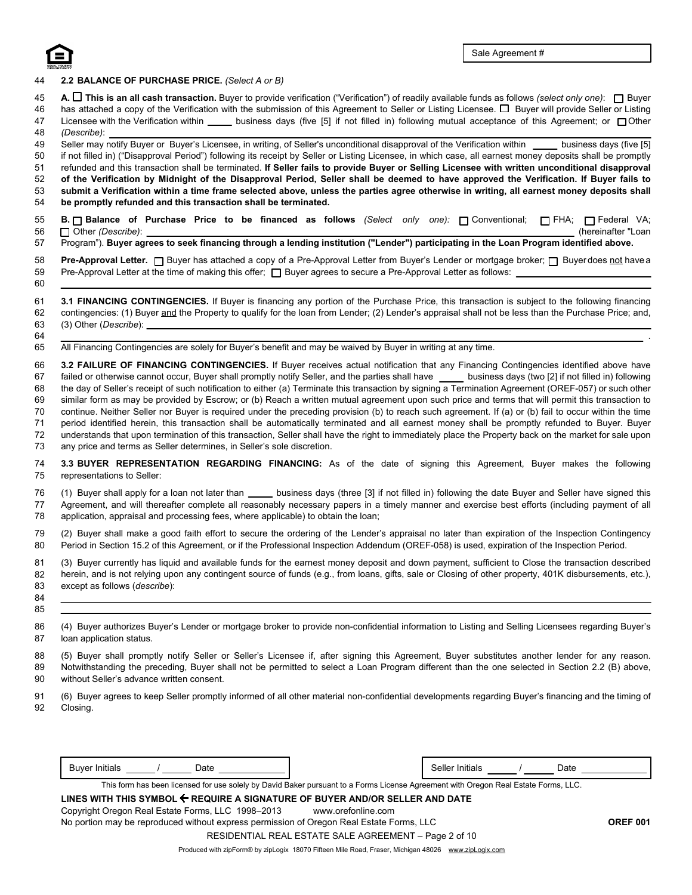

### 44 **2.2 BALANCE OF PURCHASE PRICE.** *(Select A or B)*

- 45 **A. This is an all cash transaction.** Buyer to provide verification ("Verification") of readily available funds as follows *(select only one)*: Buyer
- 46 47 48 has attached a copy of the Verification with the submission of this Agreement to Seller or Listing Licensee.  $\Box$  Buyer will provide Seller or Listing Licensee with the Verification within  $\_\_\_\_$  business days (five [5] if not filled in) following mutual acceptance of this Agreement; or  $\Box$  Other *(Describe)*:

51 52 54 49 50 53 Seller may notify Buyer or Buyer's Licensee, in writing, of Seller's unconditional disapproval of the Verification within business days (five [5] if not filled in) ("Disapproval Period") following its receipt by Seller or Listing Licensee, in which case, all earnest money deposits shall be promptly refunded and this transaction shall be terminated. **If Seller fails to provide Buyer or Selling Licensee with written unconditional disapproval of the Verification by Midnight of the Disapproval Period, Seller shall be deemed to have approved the Verification. If Buyer fails to submit a Verification within a time frame selected above, unless the parties agree otherwise in writing, all earnest money deposits shall be promptly refunded and this transaction shall be terminated.** 

- **B. B. Balance of Purchase Price to be financed as follows** *(Select only one):* Conventional; **FHA; Federal VA**; Other *(Describe)*: (hereinafter "Loan 55 56
- 57 Program"). **Buyer agrees to seek financing through a lending institution ("Lender") participating in the Loan Program identified above.**
- 58 Pre-Approval Letter. □ Buyer has attached a copy of a Pre-Approval Letter from Buyer's Lender or mortgage broker; □ Buyer does not have a Pre-Approval Letter at the time of making this offer;  $\Box$  Buyer agrees to secure a Pre-Approval Letter as follows: 59
- 60

65 All Financing Contingencies are solely for Buyer's benefit and may be waived by Buyer in writing at any time.

66 67 68 69 70 71 72 73 **3.2 FAILURE OF FINANCING CONTINGENCIES.** If Buyer receives actual notification that any Financing Contingencies identified above have failed or otherwise cannot occur, Buyer shall promptly notify Seller, and the parties shall have \_\_\_\_ business days (two [2] if not filled in) following the day of Seller's receipt of such notification to either (a) Terminate this transaction by signing a Termination Agreement (OREF-057) or such other similar form as may be provided by Escrow; or (b) Reach a written mutual agreement upon such price and terms that will permit this transaction to continue. Neither Seller nor Buyer is required under the preceding provision (b) to reach such agreement. If (a) or (b) fail to occur within the time period identified herein, this transaction shall be automatically terminated and all earnest money shall be promptly refunded to Buyer. Buyer understands that upon termination of this transaction, Seller shall have the right to immediately place the Property back on the market for sale upon any price and terms as Seller determines, in Seller's sole discretion.

- 74 75 **3.3 BUYER REPRESENTATION REGARDING FINANCING:** As of the date of signing this Agreement, Buyer makes the following representations to Seller:
- 76 77 78 (1) Buyer shall apply for a loan not later than business days (three [3] if not filled in) following the date Buyer and Seller have signed this Agreement, and will thereafter complete all reasonably necessary papers in a timely manner and exercise best efforts (including payment of all application, appraisal and processing fees, where applicable) to obtain the loan;
- 79 80 (2) Buyer shall make a good faith effort to secure the ordering of the Lender's appraisal no later than expiration of the Inspection Contingency Period in Section 15.2 of this Agreement, or if the Professional Inspection Addendum (OREF-058) is used, expiration of the Inspection Period.
- 81 82 83 (3) Buyer currently has liquid and available funds for the earnest money deposit and down payment, sufficient to Close the transaction described herein, and is not relying upon any contingent source of funds (e.g., from loans, gifts, sale or Closing of other property, 401K disbursements, etc.), except as follows (*describe*):
- 85 84
- 86 87 (4) Buyer authorizes Buyer's Lender or mortgage broker to provide non-confidential information to Listing and Selling Licensees regarding Buyer's loan application status.
- 89 90 88 (5) Buyer shall promptly notify Seller or Seller's Licensee if, after signing this Agreement, Buyer substitutes another lender for any reason. Notwithstanding the preceding, Buyer shall not be permitted to select a Loan Program different than the one selected in Section 2.2 (B) above, without Seller's advance written consent.
- 92 91 (6) Buyer agrees to keep Seller promptly informed of all other material non-confidential developments regarding Buyer's financing and the timing of Closing.

| .<br>BUVA<br>шв<br>.<br>--<br>-<br>$  -$ | ials<br>эене<br>ınıt |  | ל הו |
|------------------------------------------|----------------------|--|------|
|------------------------------------------|----------------------|--|------|

This form has been licensed for use solely by David Baker pursuant to a Forms License Agreement with Oregon Real Estate Forms, LLC.

| LINES WITH THIS SYMBOL $\leftarrow$ REQUIRE A SIGNATURE OF BUYER AND/OR SELLER AND DATE  |                                                       |                 |
|------------------------------------------------------------------------------------------|-------------------------------------------------------|-----------------|
| Copyright Oregon Real Estate Forms, LLC 1998-2013                                        | www.orefonline.com                                    |                 |
| No portion may be reproduced without express permission of Oregon Real Estate Forms, LLC |                                                       | <b>OREF 001</b> |
|                                                                                          | RESIDENTIAL REAL ESTATE SALE AGREEMENT – Page 2 of 10 |                 |

.

<sup>61</sup> 62 63 64 **3.1 FINANCING CONTINGENCIES.** If Buyer is financing any portion of the Purchase Price, this transaction is subject to the following financing contingencies: (1) Buyer and the Property to qualify for the loan from Lender; (2) Lender's appraisal shall not be less than the Purchase Price; and, (3) Other (*Describe*):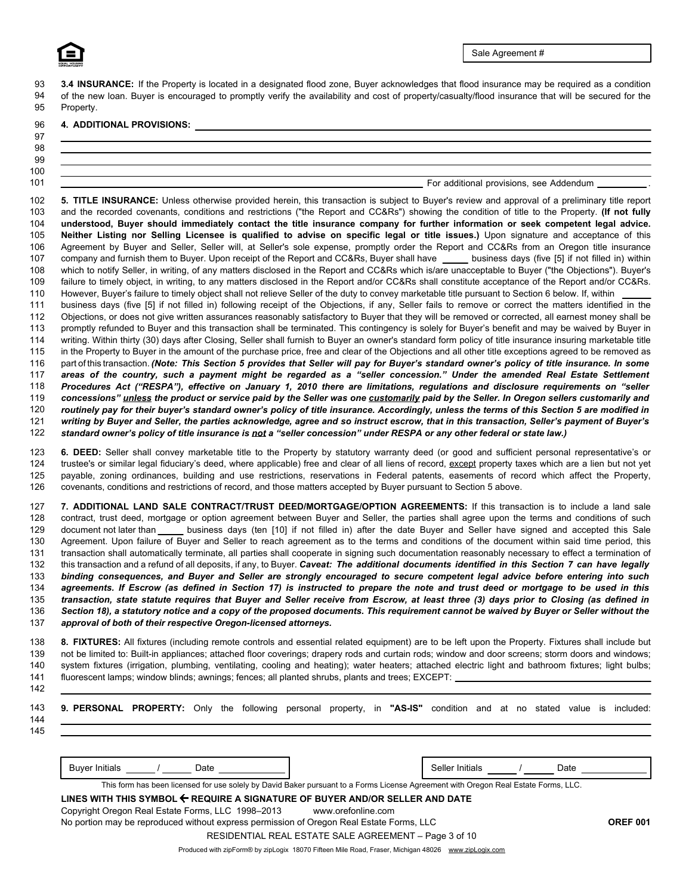93 94 95 **3.4 INSURANCE:** If the Property is located in a designated flood zone. Buyer acknowledges that flood insurance may be required as a condition of the new loan. Buyer is encouraged to promptly verify the availability and cost of property/casualty/flood insurance that will be secured for the Property.

### 96 **4. ADDITIONAL PROVISIONS:**

## 98 99 100

101

97

### For additional provisions, see Addendum .

**Neither Listing nor Selling Licensee is qualified to advise on specific legal or title issues.)** Upon signature and acceptance of this Agreement by Buyer and Seller, Seller will, at Seller's sole expense, promptly order the Report and CC&Rs from an Oregon title insurance company and furnish them to Buyer. Upon receipt of the Report and CC&Rs, Buyer shall have \_\_\_\_\_ business days (five [5] if not filled in) within which to notify Seller, in writing, of any matters disclosed in the Report and CC&Rs which is/are unacceptable to Buyer ("the Objections"). Buyer's failure to timely object, in writing, to any matters disclosed in the Report and/or CC&Rs shall constitute acceptance of the Report and/or CC&Rs. However, Buyer's failure to timely object shall not relieve Seller of the duty to convey marketable title pursuant to Section 6 below. If, within 102 103 104 105 106 107 108 109 110 **5. TITLE INSURANCE:** Unless otherwise provided herein, this transaction is subject to Buyer's review and approval of a preliminary title report and the recorded covenants, conditions and restrictions ("the Report and CC&Rs") showing the condition of title to the Property. **(If not fully understood, Buyer should immediately contact the title insurance company for further information or seek competent legal advice.**

113 business days (five [5] if not filled in) following receipt of the Objections, if any, Seller fails to remove or correct the matters identified in the Objections, or does not give written assurances reasonably satisfactory to Buyer that they will be removed or corrected, all earnest money shall be promptly refunded to Buyer and this transaction shall be terminated. This contingency is solely for Buyer's benefit and may be waived by Buyer in writing. Within thirty (30) days after Closing, Seller shall furnish to Buyer an owner's standard form policy of title insurance insuring marketable title in the Property to Buyer in the amount of the purchase price, free and clear of the Objections and all other title exceptions agreed to be removed as part of this transaction. *(Note: This Section 5 provides that Seller will pay for Buyer's standard owner's policy of title insurance. In some areas of the country, such a payment might be regarded as a "seller concession." Under the amended Real Estate Settlement Procedures Act ("RESPA"), effective on January 1, 2010 there are limitations, regulations and disclosure requirements on "seller concessions" unless the product or service paid by the Seller was one customarily paid by the Seller. In Oregon sellers customarily and routinely pay for their buyer's standard owner's policy of title insurance. Accordingly, unless the terms of this Section 5 are modified in* 111 *writing by Buyer and Seller, the parties acknowledge, agree and so instruct escrow, that in this transaction, Seller's payment of Buyer's* 112 *standard owner's policy of title insurance is not a "seller concession" under RESPA or any other federal or state law.)* 114 115 116 117 118 119 120 121 122

**6. DEED:** Seller shall convey marketable title to the Property by statutory warranty deed (or good and sufficient personal representative's or trustee's or similar legal fiduciary's deed, where applicable) free and clear of all liens of record, except property taxes which are a lien but not yet payable, zoning ordinances, building and use restrictions, reservations in Federal patents, easements of record which affect the Property, covenants, conditions and restrictions of record, and those matters accepted by Buyer pursuant to Section 5 above. 123 124 125 126

128 134 132 133 document not later than \_\_\_\_\_ business days (ten [10] if not filled in) after the date Buyer and Seller have signed and accepted this Sale **7. ADDITIONAL LAND SALE CONTRACT/TRUST DEED/MORTGAGE/OPTION AGREEMENTS:** If this transaction is to include a land sale contract, trust deed, mortgage or option agreement between Buyer and Seller, the parties shall agree upon the terms and conditions of such Agreement. Upon failure of Buyer and Seller to reach agreement as to the terms and conditions of the document within said time period, this transaction shall automatically terminate, all parties shall cooperate in signing such documentation reasonably necessary to effect a termination of this transaction and a refund of all deposits, if any, to Buyer. *Caveat: The additional documents identified in this Section 7 can have legally binding consequences, and Buyer and Seller are strongly encouraged to secure competent legal advice before entering into such agreements. If Escrow (as defined in Section 17) is instructed to prepare the note and trust deed or mortgage to be used in this transaction, state statute requires that Buyer and Seller receive from Escrow, at least three (3) days prior to Closing (as defined in Section 18), a statutory notice and a copy of the proposed documents. This requirement cannot be waived by Buyer or Seller without the* 127 *approval of both of their respective Oregon-licensed attorneys.* 129 130 131 135 136 137

138 **8. FIXTURES:** All fixtures (including remote controls and essential related equipment) are to be left upon the Property. Fixtures shall include but fluorescent lamps; window blinds; awnings; fences; all planted shrubs, plants and trees; EXCEPT: not be limited to: Built-in appliances; attached floor coverings; drapery rods and curtain rods; window and door screens; storm doors and windows; system fixtures (irrigation, plumbing, ventilating, cooling and heating); water heaters; attached electric light and bathroom fixtures; light bulbs; 139 140 141

142

| 144 | 143 <b>9. PERSONAL PROPERTY:</b> Only the following personal property, in "AS-IS" condition and at no stated value is included: |      |  |  |  |                 |  |  |      |  |
|-----|---------------------------------------------------------------------------------------------------------------------------------|------|--|--|--|-----------------|--|--|------|--|
| 145 |                                                                                                                                 |      |  |  |  |                 |  |  |      |  |
|     | <b>Buver Initials</b>                                                                                                           | Date |  |  |  | Seller Initials |  |  | Date |  |

This form has been licensed for use solely by David Baker pursuant to a Forms License Agreement with Oregon Real Estate Forms, LLC.

## **LINES WITH THIS SYMBOL REQUIRE A SIGNATURE OF BUYER AND/OR SELLER AND DATE** Copyright Oregon Real Estate Forms, LLC 1998–2013 www.orefonline.com

No portion may be reproduced without express permission of Oregon Real Estate Forms, LLC **OREF 001** RESIDENTIAL REAL ESTATE SALE AGREEMENT – Page 3 of 10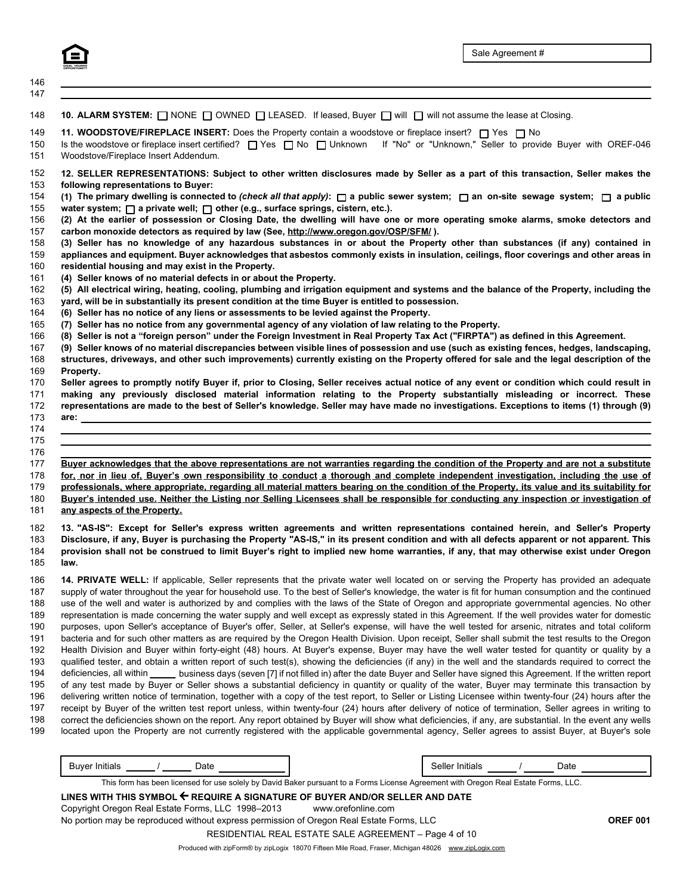146

| 147               |                                                                                                                                                                                                                                                                                                 |
|-------------------|-------------------------------------------------------------------------------------------------------------------------------------------------------------------------------------------------------------------------------------------------------------------------------------------------|
| 148               | 10. ALARM SYSTEM: NONE OWNED LEASED. If leased, Buyer O will O will not assume the lease at Closing.                                                                                                                                                                                            |
| 149<br>150<br>151 | 11. WOODSTOVE/FIREPLACE INSERT: Does the Property contain a woodstove or fireplace insert? $\Box$ Yes $\Box$ No<br>Is the woodstove or fireplace insert certified? [ Yes [ ] No [ ] Unknown If "No" or "Unknown," Seller to provide Buyer with OREF-046<br>Woodstove/Fireplace Insert Addendum. |
| 152               | 12. SELLER REPRESENTATIONS: Subject to other written disclosures made by Seller as a part of this transaction, Seller makes the                                                                                                                                                                 |
| 153               | following representations to Buyer:                                                                                                                                                                                                                                                             |
| 154               | (1) The primary dwelling is connected to (check all that apply): $\Box$ a public sewer system; $\Box$ an on-site sewage system; $\Box$ a public                                                                                                                                                 |
| 155               | water system; $\Box$ a private well; $\Box$ other (e.g., surface springs, cistern, etc.).                                                                                                                                                                                                       |
| 156               | (2) At the earlier of possession or Closing Date, the dwelling will have one or more operating smoke alarms, smoke detectors and                                                                                                                                                                |
| 157               | carbon monoxide detectors as required by law (See, http://www.oregon.gov/OSP/SFM/).                                                                                                                                                                                                             |
| 158<br>159        | (3) Seller has no knowledge of any hazardous substances in or about the Property other than substances (if any) contained in                                                                                                                                                                    |
| 160               | appliances and equipment. Buyer acknowledges that asbestos commonly exists in insulation, ceilings, floor coverings and other areas in<br>residential housing and may exist in the Property.                                                                                                    |
| 161               | (4) Seller knows of no material defects in or about the Property.                                                                                                                                                                                                                               |
| 162               | (5) All electrical wiring, heating, cooling, plumbing and irrigation equipment and systems and the balance of the Property, including the                                                                                                                                                       |
| 163               | yard, will be in substantially its present condition at the time Buyer is entitled to possession.                                                                                                                                                                                               |
| 164               | (6) Seller has no notice of any liens or assessments to be levied against the Property.                                                                                                                                                                                                         |
| 165               | (7) Seller has no notice from any governmental agency of any violation of law relating to the Property.                                                                                                                                                                                         |
| 166               | (8) Seller is not a "foreign person" under the Foreign Investment in Real Property Tax Act ("FIRPTA") as defined in this Agreement.                                                                                                                                                             |
| 167               | (9) Seller knows of no material discrepancies between visible lines of possession and use (such as existing fences, hedges, landscaping,                                                                                                                                                        |
| 168               | structures, driveways, and other such improvements) currently existing on the Property offered for sale and the legal description of the                                                                                                                                                        |
| 169<br>170        | Property.<br>Seller agrees to promptly notify Buyer if, prior to Closing, Seller receives actual notice of any event or condition which could result in                                                                                                                                         |
| 171               | making any previously disclosed material information relating to the Property substantially misleading or incorrect. These                                                                                                                                                                      |
| 172               | representations are made to the best of Seller's knowledge. Seller may have made no investigations. Exceptions to items (1) through (9)                                                                                                                                                         |
| 173               | are: the contract of the contract of the contract of the contract of the contract of the contract of the contract of the contract of the contract of the contract of the contract of the contract of the contract of the contr                                                                  |
| 174               |                                                                                                                                                                                                                                                                                                 |
| 175               |                                                                                                                                                                                                                                                                                                 |
| 176               |                                                                                                                                                                                                                                                                                                 |
| 177               | Buyer acknowledges that the above representations are not warranties regarding the condition of the Property and are not a substitute                                                                                                                                                           |
| 178               | for, nor in lieu of, Buyer's own responsibility to conduct a thorough and complete independent investigation, including the use of                                                                                                                                                              |
| 179               | professionals, where appropriate, regarding all material matters bearing on the condition of the Property, its value and its suitability for                                                                                                                                                    |
| 180               | Buyer's intended use. Neither the Listing nor Selling Licensees shall be responsible for conducting any inspection or investigation of                                                                                                                                                          |
| 181               | any aspects of the Property.                                                                                                                                                                                                                                                                    |
| 182               | 13. "AS-IS": Except for Seller's express written agreements and written representations contained herein, and Seller's Property                                                                                                                                                                 |
| 183               | Disclosure, if any, Buyer is purchasing the Property "AS-IS," in its present condition and with all defects apparent or not apparent. This                                                                                                                                                      |
| 184               | provision shall not be construed to limit Buyer's right to implied new home warranties, if any, that may otherwise exist under Oregon                                                                                                                                                           |
| 185               | law.                                                                                                                                                                                                                                                                                            |
| 186               | 14. PRIVATE WELL: If applicable, Seller represents that the private water well located on or serving the Property has provided an adequate                                                                                                                                                      |
| 187               | supply of water throughout the year for household use. To the best of Seller's knowledge, the water is fit for human consumption and the continued                                                                                                                                              |
| 188               | use of the well and water is authorized by and complies with the laws of the State of Oregon and appropriate governmental agencies. No other                                                                                                                                                    |

deficiencies, all within \_\_\_\_\_ business days (seven [7] if not filled in) after the date Buyer and Seller have signed this Agreement. If the written report representation is made concerning the water supply and well except as expressly stated in this Agreement. If the well provides water for domestic purposes, upon Seller's acceptance of Buyer's offer, Seller, at Seller's expense, will have the well tested for arsenic, nitrates and total coliform bacteria and for such other matters as are required by the Oregon Health Division. Upon receipt, Seller shall submit the test results to the Oregon Health Division and Buyer within forty-eight (48) hours. At Buyer's expense, Buyer may have the well water tested for quantity or quality by a qualified tester, and obtain a written report of such test(s), showing the deficiencies (if any) in the well and the standards required to correct the of any test made by Buyer or Seller shows a substantial deficiency in quantity or quality of the water, Buyer may terminate this transaction by delivering written notice of termination, together with a copy of the test report, to Seller or Listing Licensee within twenty-four (24) hours after the receipt by Buyer of the written test report unless, within twenty-four (24) hours after delivery of notice of termination, Seller agrees in writing to correct the deficiencies shown on the report. Any report obtained by Buyer will show what deficiencies, if any, are substantial. In the event any wells located upon the Property are not currently registered with the applicable governmental agency, Seller agrees to assist Buyer, at Buyer's sole 189 190 192 193 194 196 197 198 199 191 195

| Date<br>Buver<br>Initials         | Selle<br>nitials                                                                                |  | Date   |  |
|-----------------------------------|-------------------------------------------------------------------------------------------------|--|--------|--|
| This form<br>licensed<br>has been | d for use solely by David Baker pursuant to a Forms License Agreement with Oregon Real Estate I |  | Forms. |  |

**LINES WITH THIS SYMBOL REQUIRE A SIGNATURE OF BUYER AND/OR SELLER AND DATE** Copyright Oregon Real Estate Forms, LLC 1998–2013 www.orefonline.com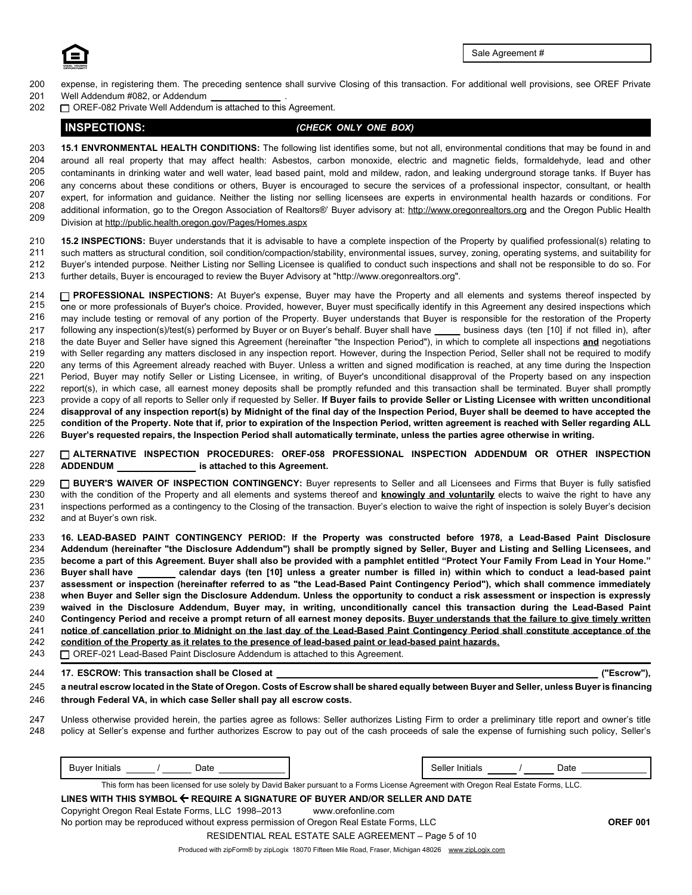

- 200 201 expense, in registering them. The preceding sentence shall survive Closing of this transaction. For additional well provisions, see OREF Private Well Addendum #082, or Addendum
- 202 OREF-082 Private Well Addendum is attached to this Agreement.

## **INSPECTIONS:** *(CHECK ONLY ONE BOX)*

208 209 203 204 205 206 207 **15.1 ENVRONMENTAL HEALTH CONDITIONS:** The following list identifies some, but not all, environmental conditions that may be found in and around all real property that may affect health: Asbestos, carbon monoxide, electric and magnetic fields, formaldehyde, lead and other contaminants in drinking water and well water, lead based paint, mold and mildew, radon, and leaking underground storage tanks. If Buyer has any concerns about these conditions or others, Buyer is encouraged to secure the services of a professional inspector, consultant, or health expert, for information and guidance. Neither the listing nor selling licensees are experts in environmental health hazards or conditions. For additional information, go to the Oregon Association of Realtors®' Buyer advisory at: http://www.oregonrealtors.org and the Oregon Public Health Division at http://public.health.oregon.gov/Pages/Homes.aspx

210 211 212 213 **15.2 INSPECTIONS:** Buyer understands that it is advisable to have a complete inspection of the Property by qualified professional(s) relating to such matters as structural condition, soil condition/compaction/stability, environmental issues, survey, zoning, operating systems, and suitability for Buyer's intended purpose. Neither Listing nor Selling Licensee is qualified to conduct such inspections and shall not be responsible to do so. For further details, Buyer is encouraged to review the Buyer Advisory at "http://www.oregonrealtors.org".

214 225 the date Buyer and Seller have signed this Agreement (hereinafter "the Inspection Period"), in which to complete all inspections **and** negotiations with Seller regarding any matters disclosed in any inspection report. However, during the Inspection Period, Seller shall not be required to modify any terms of this Agreement already reached with Buyer. Unless a written and signed modification is reached, at any time during the Inspection Period, Buyer may notify Seller or Listing Licensee, in writing, of Buyer's unconditional disapproval of the Property based on any inspection report(s), in which case, all earnest money deposits shall be promptly refunded and this transaction shall be terminated. Buyer shall promptly provide a copy of all reports to Seller only if requested by Seller. **If Buyer fails to provide Seller or Listing Licensee with written unconditional disapproval of any inspection report(s) by Midnight of the final day of the Inspection Period, Buyer shall be deemed to have accepted the condition of the Property. Note that if, prior to expiration of the Inspection Period, written agreement is reached with Seller regarding ALL** 215 216 217 218 219 220 221 222 223 224 226 **PROFESSIONAL INSPECTIONS:** At Buyer's expense, Buyer may have the Property and all elements and systems thereof inspected by one or more professionals of Buyer's choice. Provided, however, Buyer must specifically identify in this Agreement any desired inspections which may include testing or removal of any portion of the Property. Buyer understands that Buyer is responsible for the restoration of the Property following any inspection(s)/test(s) performed by Buyer or on Buyer's behalf. Buyer shall have \_\_\_\_\_ business days (ten [10] if not filled in), after **Buyer's requested repairs, the Inspection Period shall automatically terminate, unless the parties agree otherwise in writing.**

**ADDENDUM ALTERNATIVE INSPECTION PROCEDURES: OREF-058 PROFESSIONAL INSPECTION ADDENDUM OR OTHER INSPECTION is attached to this Agreement.** 227 228

**BUYER'S WAIVER OF INSPECTION CONTINGENCY:** Buyer represents to Seller and all Licensees and Firms that Buyer is fully satisfied with the condition of the Property and all elements and systems thereof and **knowingly and voluntarily** elects to waive the right to have any inspections performed as a contingency to the Closing of the transaction. Buyer's election to waive the right of inspection is solely Buyer's decision and at Buyer's own risk. 229 230 231 232

**16. LEAD-BASED PAINT CONTINGENCY PERIOD: If the Property was constructed before 1978, a Lead-Based Paint Disclosure Addendum (hereinafter "the Disclosure Addendum") shall be promptly signed by Seller, Buyer and Listing and Selling Licensees, and become a part of this Agreement. Buyer shall also be provided with a pamphlet entitled "Protect Your Family From Lead in Your Home." Buyer shall have calendar days (ten [10] unless a greater number is filled in) within which to conduct a lead-based paint assessment or inspection (hereinafter referred to as "the Lead-Based Paint Contingency Period"), which shall commence immediately when Buyer and Seller sign the Disclosure Addendum. Unless the opportunity to conduct a risk assessment or inspection is expressly waived in the Disclosure Addendum, Buyer may, in writing, unconditionally cancel this transaction during the Lead-Based Paint Contingency Period and receive a prompt return of all earnest money deposits. Buyer understands that the failure to give timely written notice of cancellation prior to Midnight on the last day of the Lead-Based Paint Contingency Period shall constitute acceptance of the condition of the Property as it relates to the presence of lead-based paint or lead-based paint hazards.** 233 234 235 236 237 238 239 240 241 242

- OREF-021 Lead-Based Paint Disclosure Addendum is attached to this Agreement. 243
- **17. ESCROW: This transaction shall be Closed at** 244

a neutral escrow located in the State of Oregon. Costs of Escrow shall be shared equally between Buyer and Seller, unless Buyer is financing **through Federal VA, in which case Seller shall pay all escrow costs.** 245 246

Unless otherwise provided herein, the parties agree as follows: Seller authorizes Listing Firm to order a preliminary title report and owner's title policy at Seller's expense and further authorizes Escrow to pay out of the cash proceeds of sale the expense of furnishing such policy, Seller's 247 248

| .<br>duver i<br>initiais<br>ี∼นเง |  | ۔eller۔<br>Initials |  | )ato |
|-----------------------------------|--|---------------------|--|------|
|-----------------------------------|--|---------------------|--|------|

This form has been licensed for use solely by David Baker pursuant to a Forms License Agreement with Oregon Real Estate Forms, LLC.

**LINES WITH THIS SYMBOL REQUIRE A SIGNATURE OF BUYER AND/OR SELLER AND DATE** Copyright Oregon Real Estate Forms, LLC 1998–2013 www.orefonline.com No portion may be reproduced without express permission of Oregon Real Estate Forms, LLC **OREF 001**

RESIDENTIAL REAL ESTATE SALE AGREEMENT – Page 5 of 10

**("Escrow"),**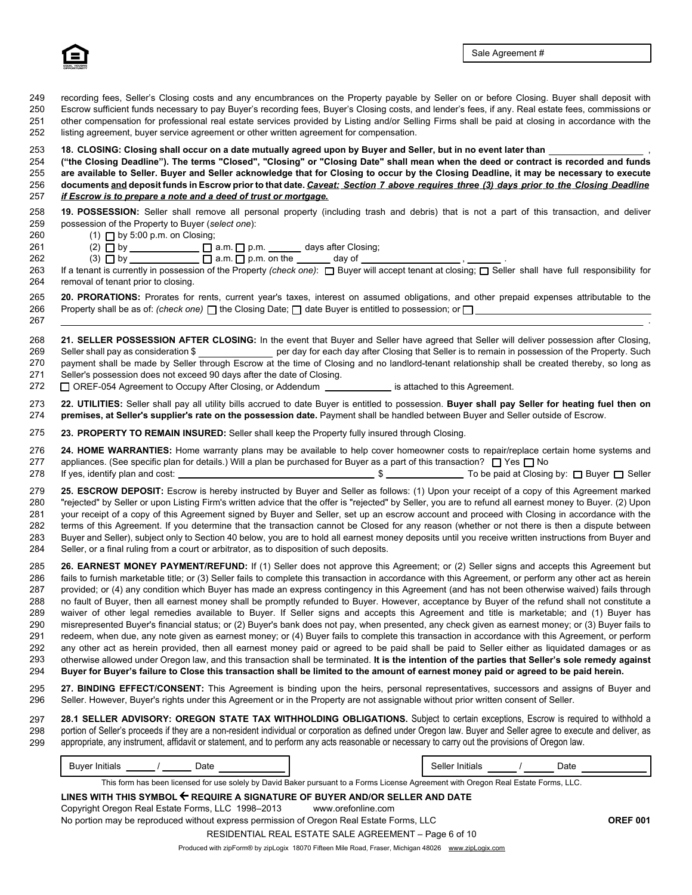

260

261

262

267

recording fees, Seller's Closing costs and any encumbrances on the Property payable by Seller on or before Closing. Buyer shall deposit with Escrow sufficient funds necessary to pay Buyer's recording fees, Buyer's Closing costs, and lender's fees, if any. Real estate fees, commissions or other compensation for professional real estate services provided by Listing and/or Selling Firms shall be paid at closing in accordance with the listing agreement, buyer service agreement or other written agreement for compensation. 249 250 251 252

### **18. CLOSING: Closing shall occur on a date mutually agreed upon by Buyer and Seller, but in no event later than** , 253

256 257 **("the Closing Deadline"). The terms "Closed", "Closing" or "Closing Date" shall mean when the deed or contract is recorded and funds are available to Seller. Buyer and Seller acknowledge that for Closing to occur by the Closing Deadline, it may be necessary to execute documents and deposit funds in Escrow prior to that date.** *Caveat: Section 7 above requires three (3) days prior to the Closing Deadline if Escrow is to prepare a note and a deed of trust or mortgage.* 254 255

| 258 19. POSSESSION: Seller shall remove all personal property (including trash and debris) that is not a part of this transaction, and deliver |  |
|------------------------------------------------------------------------------------------------------------------------------------------------|--|
| 259 possession of the Property to Buyer (select one):                                                                                          |  |

- (1) by 5:00 p.m. on Closing;
	- (2) by a.m. p.m. days after Closing;
- $(3)$  D by \_\_\_\_\_\_\_\_\_\_\_\_\_\_  $\Box$  a.m.  $\Box$  p.m. on the \_\_\_\_\_\_\_ day of \_

263 264 If a tenant is currently in possession of the Property *(check one)*: □ Buyer will accept tenant at closing; □ Seller shall have full responsibility for removal of tenant prior to closing.

265 266 **20. PRORATIONS:** Prorates for rents, current year's taxes, interest on assumed obligations, and other prepaid expenses attributable to the Property shall be as of: (check one)  $\Box$  the Closing Date;  $\Box$  date Buyer is entitled to possession; or  $\Box$ 

payment shall be made by Seller through Escrow at the time of Closing and no landlord-tenant relationship shall be created thereby, so long as Seller's possession does not exceed 90 days after the date of Closing. 268 269 270 271 **21. SELLER POSSESSION AFTER CLOSING:** In the event that Buyer and Seller have agreed that Seller will deliver possession after Closing, Seller shall pay as consideration \$ per day for each day after Closing that Seller is to remain in possession of the Property. Such

OREF-054 Agreement to Occupy After Closing, or Addendum **interlarational contains Agreement.** 272

**22. UTILITIES:** Seller shall pay all utility bills accrued to date Buyer is entitled to possession. **Buyer shall pay Seller for heating fuel then on premises, at Seller's supplier's rate on the possession date.** Payment shall be handled between Buyer and Seller outside of Escrow. 273 274

**23. PROPERTY TO REMAIN INSURED:** Seller shall keep the Property fully insured through Closing. 275

appliances. (See specific plan for details.) Will a plan be purchased for Buyer as a part of this transaction?  $\Box$  Yes  $\Box$  No **24. HOME WARRANTIES:** Home warranty plans may be available to help cover homeowner costs to repair/replace certain home systems and 276 277

If yes, identify plan and cost: \$ To be paid at Closing by: Buyer Seller 278

**25. ESCROW DEPOSIT:** Escrow is hereby instructed by Buyer and Seller as follows: (1) Upon your receipt of a copy of this Agreement marked "rejected" by Seller or upon Listing Firm's written advice that the offer is "rejected" by Seller, you are to refund all earnest money to Buyer. (2) Upon your receipt of a copy of this Agreement signed by Buyer and Seller, set up an escrow account and proceed with Closing in accordance with the terms of this Agreement. If you determine that the transaction cannot be Closed for any reason (whether or not there is then a dispute between Buyer and Seller), subject only to Section 40 below, you are to hold all earnest money deposits until you receive written instructions from Buyer and Seller, or a final ruling from a court or arbitrator, as to disposition of such deposits. 279 280 281 282 283 284

**26. EARNEST MONEY PAYMENT/REFUND:** If (1) Seller does not approve this Agreement; or (2) Seller signs and accepts this Agreement but fails to furnish marketable title; or (3) Seller fails to complete this transaction in accordance with this Agreement, or perform any other act as herein provided; or (4) any condition which Buyer has made an express contingency in this Agreement (and has not been otherwise waived) fails through no fault of Buyer, then all earnest money shall be promptly refunded to Buyer. However, acceptance by Buyer of the refund shall not constitute a waiver of other legal remedies available to Buyer. If Seller signs and accepts this Agreement and title is marketable; and (1) Buyer has misrepresented Buyer's financial status; or (2) Buyer's bank does not pay, when presented, any check given as earnest money; or (3) Buyer fails to redeem, when due, any note given as earnest money; or (4) Buyer fails to complete this transaction in accordance with this Agreement, or perform any other act as herein provided, then all earnest money paid or agreed to be paid shall be paid to Seller either as liquidated damages or as otherwise allowed under Oregon law, and this transaction shall be terminated. **It is the intention of the parties that Seller's sole remedy against Buyer for Buyer's failure to Close this transaction shall be limited to the amount of earnest money paid or agreed to be paid herein.** 285 286 287 288 289 290 291 292 293 294

**27. BINDING EFFECT/CONSENT:** This Agreement is binding upon the heirs, personal representatives, successors and assigns of Buyer and Seller. However, Buyer's rights under this Agreement or in the Property are not assignable without prior written consent of Seller. 295 296

297 298 299 **28.1 SELLER ADVISORY: OREGON STATE TAX WITHHOLDING OBLIGATIONS.** Subject to certain exceptions, Escrow is required to withhold a portion of Seller's proceeds if they are a non-resident individual or corporation as defined under Oregon law. Buyer and Seller agree to execute and deliver, as appropriate, any instrument, affidavit or statement, and to perform any acts reasonable or necessary to carry out the provisions of Oregon law.

| Date<br><b>Buver Initials</b>                                                                                                       |  | Seller Initials |  | Date |  |  |  |
|-------------------------------------------------------------------------------------------------------------------------------------|--|-----------------|--|------|--|--|--|
| This form has been licensed for use solely by David Baker pursuant to a Forms License Agreement with Oregon Real Estate Forms, LLC. |  |                 |  |      |  |  |  |
|                                                                                                                                     |  |                 |  |      |  |  |  |

**LINES WITH THIS SYMBOL REQUIRE A SIGNATURE OF BUYER AND/OR SELLER AND DATE** Copyright Oregon Real Estate Forms, LLC 1998–2013 www.orefonline.com No portion may be reproduced without express permission of Oregon Real Estate Forms, LLC **OREF 001** RESIDENTIAL REAL ESTATE SALE AGREEMENT – Page 6 of 10

.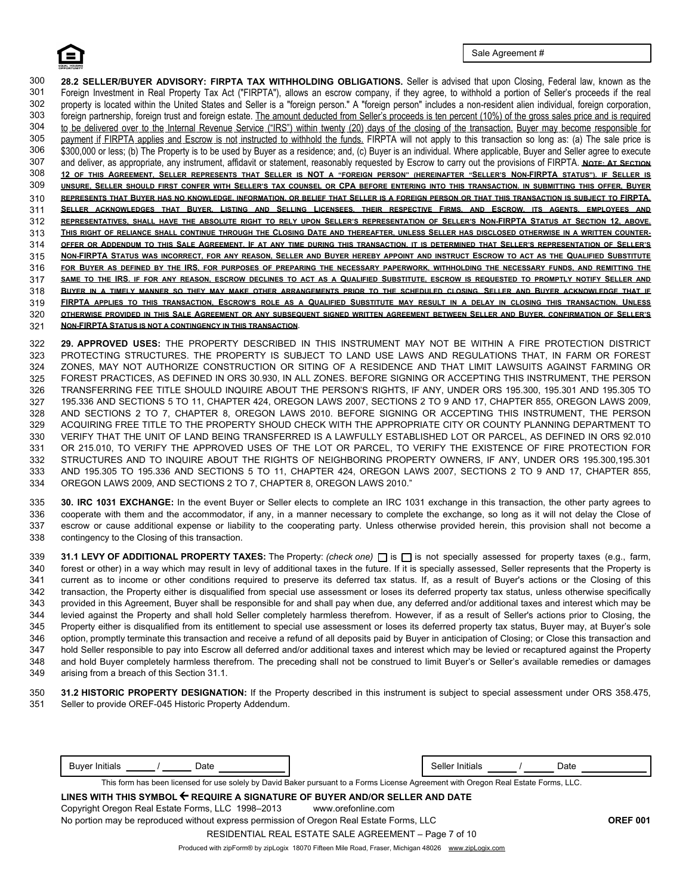307 308 309 310 311 312 313 314 315 316 317 318 319 320 321 **FIRPTA APPLIES TO THIS TRANSACTION, ESCROW'S ROLE AS A QUALIFIED SUBSTITUTE MAY RESULT IN A DELAY IN CLOSING THIS TRANSACTION. UNLESS OTHERWISE PROVIDED IN THIS SALE AGREEMENT OR ANY SUBSEQUENT SIGNED WRITTEN AGREEMENT BETWEEN SELLER AND BUYER, CONFIRMATION OF SELLER'S NON-FIRPTA STATUS IS NOT A CONTINGENCY IN THIS TRANSACTION. 28.2 SELLER/BUYER ADVISORY: FIRPTA TAX WITHHOLDING OBLIGATIONS.** Seller is advised that upon Closing, Federal law, known as the Foreign Investment in Real Property Tax Act ("FIRPTA"), allows an escrow company, if they agree, to withhold a portion of Seller's proceeds if the real property is located within the United States and Seller is a "foreign person." A "foreign person" includes a non-resident alien individual, foreign corporation, foreign partnership, foreign trust and foreign estate. The amount deducted from Seller's proceeds is ten percent (10%) of the gross sales price and is required to be delivered over to the Internal Revenue Service ("IRS") within twenty (20) days of the closing of the transaction. Buyer may become responsible for 300 payment if FIRPTA applies and Escrow is not instructed to withhold the funds. FIRPTA will not apply to this transaction so long as: (a) The sale price is 301 \$300,000 or less; (b) The Property is to be used by Buyer as a residence; and, (c) Buyer is an individual. Where applicable, Buyer and Seller agree to execute 302 and deliver, as appropriate, any instrument, affidavit or statement, reasonably requested by Escrow to carry out the provisions of FIRPTA. **NOTE: A<sup>T</sup> SECTION** 303 12 OF THIS AGREEMENT, SELLER REPRESENTS THAT SELLER IS NOT A "FOREIGN PERSON" (HEREINAFTER "SELLER'S NON-FIRPTA STATUS"). IF SELLER IS 304 **UNSURE, SELLER SHOULD FIRST CONFER WITH SELLER'S TAX COUNSEL OR CPA BEFORE ENTERING INTO THIS TRANSACTION. IN SUBMITTING THIS OFFER, BUYER** 305 **REPRESENTS THAT BUYER HAS NO KNOWLEDGE, INFORMATION, OR BELIEF THAT SELLER IS A FOREIGN PERSON OR THAT THIS TRANSACTION IS SUBJECT TO FIRPTA.** 306 **SELLER ACKNOWLEDGES THAT BUYER, LISTING AND SELLING LICENSEES, THEIR RESPECTIVE FIRMS, AND ESCROW, ITS AGENTS, EMPLOYEES AND** REPRESENTATIVES, SHALL HAVE THE ABSOLUTE RIGHT TO RELY UPON SELLER'S REPRESENTATION OF SELLER'S NON-FIRPTA STATUS AT SECTION 12, ABOVE. **THIS RIGHT OF RELIANCE SHALL CONTINUE THROUGH THE CLOSING DATE AND THEREAFTER, UNLESS SELLER HAS DISCLOSED OTHERWISE IN A WRITTEN COUNTER-**OFFER OR ADDENDUM TO THIS SALE AGREEMENT. IF AT ANY TIME DURING THIS TRANSACTION, IT IS DETERMINED THAT SELLER'S REPRESENTATION OF SELLER'S NON-FIRPTA STATUS WAS INCORRECT, FOR ANY REASON, SELLER AND BUYER HEREBY APPOINT AND INSTRUCT ESCROW TO ACT AS THE QUALIFIED SUBSTITUTE **FOR BUYER AS DEFINED BY THE IRS, FOR PURPOSES OF PREPARING THE NECESSARY PAPERWORK, WITHHOLDING THE NECESSARY FUNDS, AND REMITTING THE SAME TO THE IRS. IF FOR ANY REASON, ESCROW DECLINES TO ACT AS A QUALIFIED SUBSTITUTE, ESCROW IS REQUESTED TO PROMPTLY NOTIFY SELLER AND BUYER IN A TIMELY MANNER SO THEY MAY MAKE OTHER ARRANGEMENTS PRIOR TO THE SCHEDULED CLOSING. SELLER AND BUYER ACKNOWLEDGE THAT IF**

322 323 324 325 326 327 328 329 330 331 332 333 334 **29. APPROVED USES:** THE PROPERTY DESCRIBED IN THIS INSTRUMENT MAY NOT BE WITHIN A FIRE PROTECTION DISTRICT PROTECTING STRUCTURES. THE PROPERTY IS SUBJECT TO LAND USE LAWS AND REGULATIONS THAT, IN FARM OR FOREST ZONES, MAY NOT AUTHORIZE CONSTRUCTION OR SITING OF A RESIDENCE AND THAT LIMIT LAWSUITS AGAINST FARMING OR FOREST PRACTICES, AS DEFINED IN ORS 30.930, IN ALL ZONES. BEFORE SIGNING OR ACCEPTING THIS INSTRUMENT, THE PERSON TRANSFERRING FEE TITLE SHOULD INQUIRE ABOUT THE PERSON'S RIGHTS, IF ANY, UNDER ORS 195.300, 195.301 AND 195.305 TO 195.336 AND SECTIONS 5 TO 11, CHAPTER 424, OREGON LAWS 2007, SECTIONS 2 TO 9 AND 17, CHAPTER 855, OREGON LAWS 2009, AND SECTIONS 2 TO 7, CHAPTER 8, OREGON LAWS 2010. BEFORE SIGNING OR ACCEPTING THIS INSTRUMENT, THE PERSON ACQUIRING FREE TITLE TO THE PROPERTY SHOUD CHECK WITH THE APPROPRIATE CITY OR COUNTY PLANNING DEPARTMENT TO VERIFY THAT THE UNIT OF LAND BEING TRANSFERRED IS A LAWFULLY ESTABLISHED LOT OR PARCEL, AS DEFINED IN ORS 92.010 OR 215.010, TO VERIFY THE APPROVED USES OF THE LOT OR PARCEL, TO VERIFY THE EXISTENCE OF FIRE PROTECTION FOR STRUCTURES AND TO INQUIRE ABOUT THE RIGHTS OF NEIGHBORING PROPERTY OWNERS, IF ANY, UNDER ORS 195.300,195.301 AND 195.305 TO 195.336 AND SECTIONS 5 TO 11, CHAPTER 424, OREGON LAWS 2007, SECTIONS 2 TO 9 AND 17, CHAPTER 855, OREGON LAWS 2009, AND SECTIONS 2 TO 7, CHAPTER 8, OREGON LAWS 2010."

escrow or cause additional expense or liability to the cooperating party. Unless otherwise provided herein, this provision shall not become a contingency to the Closing of this transaction. 335 336 337 338 **30. IRC 1031 EXCHANGE:** In the event Buyer or Seller elects to complete an IRC 1031 exchange in this transaction, the other party agrees to cooperate with them and the accommodator, if any, in a manner necessary to complete the exchange, so long as it will not delay the Close of

31.1 LEVY OF ADDITIONAL PROPERTY TAXES: The Property: *(check one)*  $\Box$  is  $\Box$  is not specially assessed for property taxes (e.g., farm, forest or other) in a way which may result in levy of additional taxes in the future. If it is specially assessed, Seller represents that the Property is current as to income or other conditions required to preserve its deferred tax status. If, as a result of Buyer's actions or the Closing of this transaction, the Property either is disqualified from special use assessment or loses its deferred property tax status, unless otherwise specifically provided in this Agreement, Buyer shall be responsible for and shall pay when due, any deferred and/or additional taxes and interest which may be levied against the Property and shall hold Seller completely harmless therefrom. However, if as a result of Seller's actions prior to Closing, the Property either is disqualified from its entitlement to special use assessment or loses its deferred property tax status, Buyer may, at Buyer's sole option, promptly terminate this transaction and receive a refund of all deposits paid by Buyer in anticipation of Closing; or Close this transaction and hold Seller responsible to pay into Escrow all deferred and/or additional taxes and interest which may be levied or recaptured against the Property and hold Buyer completely harmless therefrom. The preceding shall not be construed to limit Buyer's or Seller's available remedies or damages arising from a breach of this Section 31.1. 339 340 341 342 343 344 345 346 347 348 349

**31.2 HISTORIC PROPERTY DESIGNATION:** If the Property described in this instrument is subject to special assessment under ORS 358.475. Seller to provide OREF-045 Historic Property Addendum. 350 351

| ∍ate<br> | tials | Date |
|----------|-------|------|
|          |       |      |

This form has been licensed for use solely by David Baker pursuant to a Forms License Agreement with Oregon Real Estate Forms, LLC.

| LINES WITH THIS SYMBOL $\Leftarrow$ REQUIRE A SIGNATURE OF BUYER AND/OR SELLER AND DATE             |                 |
|-----------------------------------------------------------------------------------------------------|-----------------|
| Copyright Oregon Real Estate Forms, LLC 1998-2013<br>www.orefonline.com                             |                 |
| No portion may be reproduced without express permission of Oregon Real Estate Forms, LLC            | <b>OREF 001</b> |
| RESIDENTIAL REAL ESTATE SALE AGREEMENT – Page 7 of 10                                               |                 |
| Produced with zipForm® by zipLogix 18070 Fifteen Mile Road, Fraser, Michigan 48026 www.zipLogix.com |                 |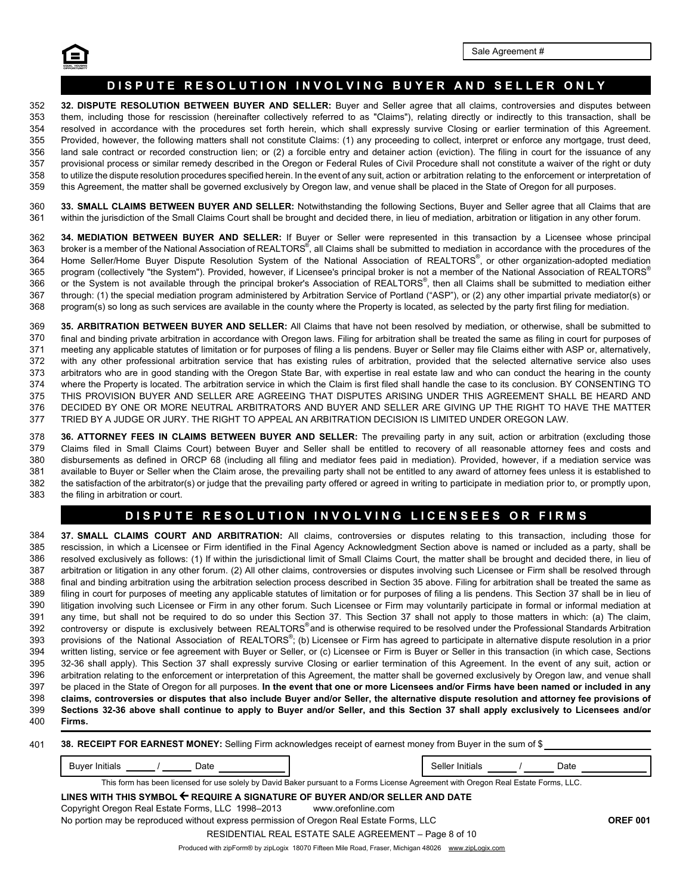

# DISPUTE RESOLUTION INVOLVING BUYER AND SELLER ONLY

358 359 **32. DISPUTE RESOLUTION BETWEEN BUYER AND SELLER:** Buyer and Seller agree that all claims, controversies and disputes between them, including those for rescission (hereinafter collectively referred to as "Claims"), relating directly or indirectly to this transaction, shall be resolved in accordance with the procedures set forth herein, which shall expressly survive Closing or earlier termination of this Agreement. Provided, however, the following matters shall not constitute Claims: (1) any proceeding to collect, interpret or enforce any mortgage, trust deed, land sale contract or recorded construction lien; or (2) a forcible entry and detainer action (eviction). The filing in court for the issuance of any provisional process or similar remedy described in the Oregon or Federal Rules of Civil Procedure shall not constitute a waiver of the right or duty to utilize the dispute resolution procedures specified herein. In the event of any suit, action or arbitration relating to the enforcement or interpretation of this Agreement, the matter shall be governed exclusively by Oregon law, and venue shall be placed in the State of Oregon for all purposes. 352 353 354 355 356 357

360 361 **33. SMALL CLAIMS BETWEEN BUYER AND SELLER:** Notwithstanding the following Sections, Buyer and Seller agree that all Claims that are within the jurisdiction of the Small Claims Court shall be brought and decided there, in lieu of mediation, arbitration or litigation in any other forum.

362 363 364 365 366 367 368 **34. MEDIATION BETWEEN BUYER AND SELLER:** If Buyer or Seller were represented in this transaction by a Licensee whose principal broker is a member of the National Association of REALTORS $^\circ$ , all Claims shall be submitted to mediation in accordance with the procedures of the Home Seller/Home Buyer Dispute Resolution System of the National Association of REALTORS®, or other organization-adopted mediation program (collectively "the System"). Provided, however, if Licensee's principal broker is not a member of the National Association of REALTORS® or the System is not available through the principal broker's Association of REALTORS®, then all Claims shall be submitted to mediation either through: (1) the special mediation program administered by Arbitration Service of Portland ("ASP"), or (2) any other impartial private mediator(s) or program(s) so long as such services are available in the county where the Property is located, as selected by the party first filing for mediation.

373 374 375 376 377 meeting any applicable statutes of limitation or for purposes of filing a lis pendens. Buyer or Seller may file Claims either with ASP or, alternatively, with any other professional arbitration service that has existing rules of arbitration, provided that the selected alternative service also uses arbitrators who are in good standing with the Oregon State Bar, with expertise in real estate law and who can conduct the hearing in the county where the Property is located. The arbitration service in which the Claim is first filed shall handle the case to its conclusion. BY CONSENTING TO THIS PROVISION BUYER AND SELLER ARE AGREEING THAT DISPUTES ARISING UNDER THIS AGREEMENT SHALL BE HEARD AND DECIDED BY ONE OR MORE NEUTRAL ARBITRATORS AND BUYER AND SELLER ARE GIVING UP THE RIGHT TO HAVE THE MATTER TRIED BY A JUDGE OR JURY. THE RIGHT TO APPEAL AN ARBITRATION DECISION IS LIMITED UNDER OREGON LAW. 369 370 371 372 **35. ARBITRATION BETWEEN BUYER AND SELLER:** All Claims that have not been resolved by mediation, or otherwise, shall be submitted to final and binding private arbitration in accordance with Oregon laws. Filing for arbitration shall be treated the same as filing in court for purposes of

378 379 380 381 382 383 **36. ATTORNEY FEES IN CLAIMS BETWEEN BUYER AND SELLER:** The prevailing party in any suit, action or arbitration (excluding those Claims filed in Small Claims Court) between Buyer and Seller shall be entitled to recovery of all reasonable attorney fees and costs and disbursements as defined in ORCP 68 (including all filing and mediator fees paid in mediation). Provided, however, if a mediation service was available to Buyer or Seller when the Claim arose, the prevailing party shall not be entitled to any award of attorney fees unless it is established to the satisfaction of the arbitrator(s) or judge that the prevailing party offered or agreed in writing to participate in mediation prior to, or promptly upon, the filing in arbitration or court.

# **DISPUTE RESOLUTION INVOLVING LICENSEES OR FIRMS**

resolved exclusively as follows: (1) If within the jurisdictional limit of Small Claims Court, the matter shall be brought and decided there, in lieu of arbitration or litigation in any other forum. (2) All other claims, controversies or disputes involving such Licensee or Firm shall be resolved through final and binding arbitration using the arbitration selection process described in Section 35 above. Filing for arbitration shall be treated the same as filing in court for purposes of meeting any applicable statutes of limitation or for purposes of filing a lis pendens. This Section 37 shall be in lieu of litigation involving such Licensee or Firm in any other forum. Such Licensee or Firm may voluntarily participate in formal or informal mediation at any time, but shall not be required to do so under this Section 37. This Section 37 shall not apply to those matters in which: (a) The claim, controversy or dispute is exclusively between REALTORS®and is otherwise required to be resolved under the Professional Standards Arbitration provisions of the National Association of REALTORS®; (b) Licensee or Firm has agreed to participate in alternative dispute resolution in a prior written listing, service or fee agreement with Buyer or Seller, or (c) Licensee or Firm is Buyer or Seller in this transaction (in which case, Sections 32-36 shall apply). This Section 37 shall expressly survive Closing or earlier termination of this Agreement. In the event of any suit, action or 387 388 389 390 391 392 393 395 396 397 398 399 394 384 385 386 arbitration relating to the enforcement or interpretation of this Agreement, the matter shall be governed exclusively by Oregon law, and venue shall be placed in the State of Oregon for all purposes. **In the event that one or more Licensees and/or Firms have been named or included in any claims, controversies or disputes that also include Buyer and/or Seller, the alternative dispute resolution and attorney fee provisions of Sections 32-36 above shall continue to apply to Buyer and/or Seller, and this Section 37 shall apply exclusively to Licensees and/or 37. SMALL CLAIMS COURT AND ARBITRATION:** All claims, controversies or disputes relating to this transaction, including those for rescission, in which a Licensee or Firm identified in the Final Agency Acknowledgment Section above is named or included as a party, shall be 400 **Firms.**

|  |  |  |  |  | 401 38. RECEIPT FOR EARNEST MONEY: Selling Firm acknowledges receipt of earnest money from Buyer in the sum of \$ |  |
|--|--|--|--|--|-------------------------------------------------------------------------------------------------------------------|--|
|--|--|--|--|--|-------------------------------------------------------------------------------------------------------------------|--|

Buyer Initials \_\_\_\_\_\_\_/ \_\_\_\_\_\_ Date Seller Initials / Date

This form has been licensed for use solely by David Baker pursuant to a Forms License Agreement with Oregon Real Estate Forms, LLC.

**LINES WITH THIS SYMBOL REQUIRE A SIGNATURE OF BUYER AND/OR SELLER AND DATE** Copyright Oregon Real Estate Forms, LLC 1998–2013 www.orefonline.com No portion may be reproduced without express permission of Oregon Real Estate Forms, LLC **OREF 001** RESIDENTIAL REAL ESTATE SALE AGREEMENT – Page 8 of 10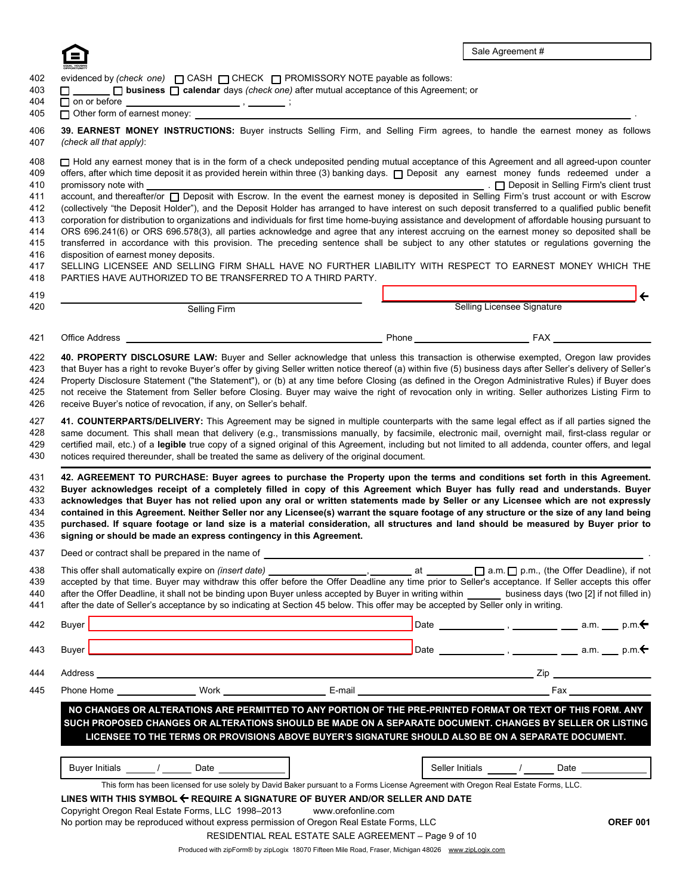

|                                                                |                                                                      | □ business □ calendar days (check one) after mutual acceptance of this Agreement; or                                                                                                                                                                                                                                                                                                                                                                                                                                                                                                                                                                                                                                                                                                                                                                                                                                                                                                                                                                                                                                                                       |                                             |
|----------------------------------------------------------------|----------------------------------------------------------------------|------------------------------------------------------------------------------------------------------------------------------------------------------------------------------------------------------------------------------------------------------------------------------------------------------------------------------------------------------------------------------------------------------------------------------------------------------------------------------------------------------------------------------------------------------------------------------------------------------------------------------------------------------------------------------------------------------------------------------------------------------------------------------------------------------------------------------------------------------------------------------------------------------------------------------------------------------------------------------------------------------------------------------------------------------------------------------------------------------------------------------------------------------------|---------------------------------------------|
| □ Other form of earnest money:                                 |                                                                      |                                                                                                                                                                                                                                                                                                                                                                                                                                                                                                                                                                                                                                                                                                                                                                                                                                                                                                                                                                                                                                                                                                                                                            |                                             |
| (check all that apply):                                        |                                                                      | 39. EARNEST MONEY INSTRUCTIONS: Buyer instructs Selling Firm, and Selling Firm agrees, to handle the earnest money as follows                                                                                                                                                                                                                                                                                                                                                                                                                                                                                                                                                                                                                                                                                                                                                                                                                                                                                                                                                                                                                              |                                             |
| promissory note with<br>disposition of earnest money deposits. | PARTIES HAVE AUTHORIZED TO BE TRANSFERRED TO A THIRD PARTY.          | Hold any earnest money that is in the form of a check undeposited pending mutual acceptance of this Agreement and all agreed-upon counter<br>offers, after which time deposit it as provided herein within three (3) banking days. [ Deposit any earnest money funds redeemed under a<br>account, and thereafter/or neposit with Escrow. In the event the earnest money is deposited in Selling Firm's trust account or with Escrow<br>(collectively "the Deposit Holder"), and the Deposit Holder has arranged to have interest on such deposit transferred to a qualified public benefit<br>corporation for distribution to organizations and individuals for first time home-buying assistance and development of affordable housing pursuant to<br>ORS 696.241(6) or ORS 696.578(3), all parties acknowledge and agree that any interest accruing on the earnest money so deposited shall be<br>transferred in accordance with this provision. The preceding sentence shall be subject to any other statutes or regulations governing the<br>SELLING LICENSEE AND SELLING FIRM SHALL HAVE NO FURTHER LIABILITY WITH RESPECT TO EARNEST MONEY WHICH THE |                                             |
|                                                                |                                                                      |                                                                                                                                                                                                                                                                                                                                                                                                                                                                                                                                                                                                                                                                                                                                                                                                                                                                                                                                                                                                                                                                                                                                                            |                                             |
|                                                                | <b>Selling Firm</b>                                                  |                                                                                                                                                                                                                                                                                                                                                                                                                                                                                                                                                                                                                                                                                                                                                                                                                                                                                                                                                                                                                                                                                                                                                            | Selling Licensee Signature                  |
|                                                                |                                                                      |                                                                                                                                                                                                                                                                                                                                                                                                                                                                                                                                                                                                                                                                                                                                                                                                                                                                                                                                                                                                                                                                                                                                                            |                                             |
|                                                                | receive Buyer's notice of revocation, if any, on Seller's behalf.    | not receive the Statement from Seller before Closing. Buyer may waive the right of revocation only in writing. Seller authorizes Listing Firm to<br>41. COUNTERPARTS/DELIVERY: This Agreement may be signed in multiple counterparts with the same legal effect as if all parties signed the<br>same document. This shall mean that delivery (e.g., transmissions manually, by facsimile, electronic mail, overnight mail, first-class regular or<br>certified mail, etc.) of a legible true copy of a signed original of this Agreement, including but not limited to all addenda, counter offers, and legal<br>notices required thereunder, shall be treated the same as delivery of the original document.                                                                                                                                                                                                                                                                                                                                                                                                                                              |                                             |
|                                                                |                                                                      | 42. AGREEMENT TO PURCHASE: Buyer agrees to purchase the Property upon the terms and conditions set forth in this Agreement.                                                                                                                                                                                                                                                                                                                                                                                                                                                                                                                                                                                                                                                                                                                                                                                                                                                                                                                                                                                                                                |                                             |
|                                                                | signing or should be made an express contingency in this Agreement.  | Buyer acknowledges receipt of a completely filled in copy of this Agreement which Buyer has fully read and understands. Buyer<br>acknowledges that Buyer has not relied upon any oral or written statements made by Seller or any Licensee which are not expressly<br>contained in this Agreement. Neither Seller nor any Licensee(s) warrant the square footage of any structure or the size of any land being<br>purchased. If square footage or land size is a material consideration, all structures and land should be measured by Buyer prior to                                                                                                                                                                                                                                                                                                                                                                                                                                                                                                                                                                                                     |                                             |
|                                                                |                                                                      |                                                                                                                                                                                                                                                                                                                                                                                                                                                                                                                                                                                                                                                                                                                                                                                                                                                                                                                                                                                                                                                                                                                                                            |                                             |
|                                                                |                                                                      | after the Offer Deadline, it shall not be binding upon Buyer unless accepted by Buyer in writing within _______ business days (two [2] if not filled in)<br>after the date of Seller's acceptance by so indicating at Section 45 below. This offer may be accepted by Seller only in writing.                                                                                                                                                                                                                                                                                                                                                                                                                                                                                                                                                                                                                                                                                                                                                                                                                                                              |                                             |
|                                                                |                                                                      |                                                                                                                                                                                                                                                                                                                                                                                                                                                                                                                                                                                                                                                                                                                                                                                                                                                                                                                                                                                                                                                                                                                                                            | □ a.m. □ p.m., (the Offer Deadline), if not |
|                                                                |                                                                      |                                                                                                                                                                                                                                                                                                                                                                                                                                                                                                                                                                                                                                                                                                                                                                                                                                                                                                                                                                                                                                                                                                                                                            |                                             |
|                                                                |                                                                      |                                                                                                                                                                                                                                                                                                                                                                                                                                                                                                                                                                                                                                                                                                                                                                                                                                                                                                                                                                                                                                                                                                                                                            |                                             |
|                                                                |                                                                      |                                                                                                                                                                                                                                                                                                                                                                                                                                                                                                                                                                                                                                                                                                                                                                                                                                                                                                                                                                                                                                                                                                                                                            |                                             |
|                                                                |                                                                      | NO CHANGES OR ALTERATIONS ARE PERMITTED TO ANY PORTION OF THE PRE-PRINTED FORMAT OR TEXT OF THIS FORM. ANY                                                                                                                                                                                                                                                                                                                                                                                                                                                                                                                                                                                                                                                                                                                                                                                                                                                                                                                                                                                                                                                 |                                             |
|                                                                |                                                                      | SUCH PROPOSED CHANGES OR ALTERATIONS SHOULD BE MADE ON A SEPARATE DOCUMENT. CHANGES BY SELLER OR LISTING<br>LICENSEE TO THE TERMS OR PROVISIONS ABOVE BUYER'S SIGNATURE SHOULD ALSO BE ON A SEPARATE DOCUMENT.                                                                                                                                                                                                                                                                                                                                                                                                                                                                                                                                                                                                                                                                                                                                                                                                                                                                                                                                             |                                             |
|                                                                |                                                                      |                                                                                                                                                                                                                                                                                                                                                                                                                                                                                                                                                                                                                                                                                                                                                                                                                                                                                                                                                                                                                                                                                                                                                            |                                             |
|                                                                | Buyer Initials ______/ _______ Date ________________                 | This form has been licensed for use solely by David Baker pursuant to a Forms License Agreement with Oregon Real Estate Forms, LLC.                                                                                                                                                                                                                                                                                                                                                                                                                                                                                                                                                                                                                                                                                                                                                                                                                                                                                                                                                                                                                        |                                             |
|                                                                |                                                                      | LINES WITH THIS SYMBOL ← REQUIRE A SIGNATURE OF BUYER AND/OR SELLER AND DATE                                                                                                                                                                                                                                                                                                                                                                                                                                                                                                                                                                                                                                                                                                                                                                                                                                                                                                                                                                                                                                                                               |                                             |
|                                                                | Copyright Oregon Real Estate Forms, LLC 1998-2013 www.orefonline.com | No portion may be reproduced without express permission of Oregon Real Estate Forms, LLC                                                                                                                                                                                                                                                                                                                                                                                                                                                                                                                                                                                                                                                                                                                                                                                                                                                                                                                                                                                                                                                                   | <b>OREF 001</b>                             |